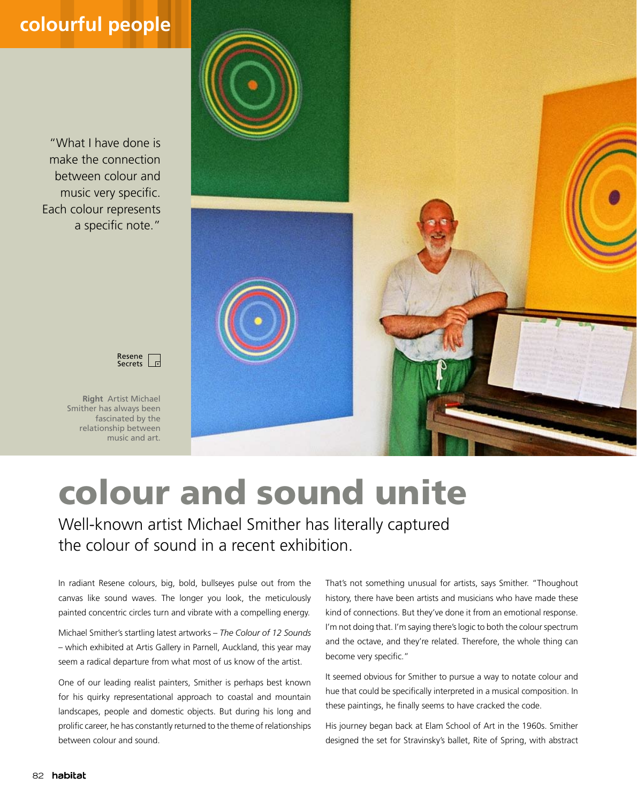## **colourful people**

"What I have done is make the connection between colour and music very specific. Each colour represents a specific note."



**Right** Artist Michael Smither has always been fascinated by the relationship between music and art.



## colour and sound unite

Well-known artist Michael Smither has literally captured the colour of sound in a recent exhibition.

In radiant Resene colours, big, bold, bullseyes pulse out from the canvas like sound waves. The longer you look, the meticulously painted concentric circles turn and vibrate with a compelling energy.

Michael Smither's startling latest artworks – *The Colour of 12 Sounds*  – which exhibited at Artis Gallery in Parnell, Auckland, this year may seem a radical departure from what most of us know of the artist.

One of our leading realist painters, Smither is perhaps best known for his quirky representational approach to coastal and mountain landscapes, people and domestic objects. But during his long and prolific career, he has constantly returned to the theme of relationships between colour and sound.

That's not something unusual for artists, says Smither. "Thoughout history, there have been artists and musicians who have made these kind of connections. But they've done it from an emotional response. I'm not doing that. I'm saying there's logic to both the colour spectrum and the octave, and they're related. Therefore, the whole thing can become very specific."

It seemed obvious for Smither to pursue a way to notate colour and hue that could be specifically interpreted in a musical composition. In these paintings, he finally seems to have cracked the code.

His journey began back at Elam School of Art in the 1960s. Smither designed the set for Stravinsky's ballet, Rite of Spring, with abstract